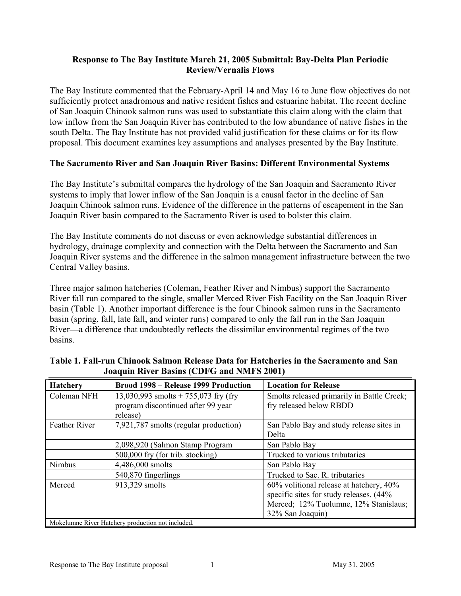### Response to The Bay Institute March 21, 2005 Submittal: Bay-Delta Plan Periodic Review/Vernalis Flows

The Bay Institute commented that the February-April 14 and May 16 to June flow objectives do not sufficiently protect anadromous and native resident fishes and estuarine habitat. The recent decline of San Joaquin Chinook salmon runs was used to substantiate this claim along with the claim that low inflow from the San Joaquin River has contributed to the low abundance of native fishes in the south Delta. The Bay Institute has not provided valid justification for these claims or for its flow proposal. This document examines key assumptions and analyses presented by the Bay Institute.

### The Sacramento River and San Joaquin River Basins: Different Environmental Systems

The Bay Institute's submittal compares the hydrology of the San Joaquin and Sacramento River systems to imply that lower inflow of the San Joaquin is a causal factor in the decline of San Joaquin Chinook salmon runs. Evidence of the difference in the patterns of escapement in the San Joaquin River basin compared to the Sacramento River is used to bolster this claim.

The Bay Institute comments do not discuss or even acknowledge substantial differences in hydrology, drainage complexity and connection with the Delta between the Sacramento and San Joaquin River systems and the difference in the salmon management infrastructure between the two Central Valley basins.

Three major salmon hatcheries (Coleman, Feather River and Nimbus) support the Sacramento River fall run compared to the single, smaller Merced River Fish Facility on the San Joaquin River basin (Table 1). Another important difference is the four Chinook salmon runs in the Sacramento basin (spring, fall, late fall, and winter runs) compared to only the fall run in the San Joaquin River—a difference that undoubtedly reflects the dissimilar environmental regimes of the two basins.

| <b>Hatchery</b>                                  | Brood 1998 – Release 1999 Production  | <b>Location for Release</b>                |
|--------------------------------------------------|---------------------------------------|--------------------------------------------|
| Coleman NFH                                      | 13,030,993 smolts + 755,073 fry (fry  | Smolts released primarily in Battle Creek; |
|                                                  | program discontinued after 99 year    | fry released below RBDD                    |
|                                                  | release)                              |                                            |
| <b>Feather River</b>                             | 7,921,787 smolts (regular production) | San Pablo Bay and study release sites in   |
|                                                  |                                       | Delta                                      |
|                                                  | 2,098,920 (Salmon Stamp Program       | San Pablo Bay                              |
|                                                  | 500,000 fry (for trib. stocking)      | Trucked to various tributaries             |
| Nimbus                                           | 4,486,000 smolts                      | San Pablo Bay                              |
|                                                  | 540,870 fingerlings                   | Trucked to Sac. R. tributaries             |
| Merced                                           | 913,329 smolts                        | 60% volitional release at hatchery, 40%    |
|                                                  |                                       | specific sites for study releases. (44%    |
|                                                  |                                       | Merced; 12% Tuolumne, 12% Stanislaus;      |
|                                                  |                                       | 32% San Joaquin)                           |
| Mokelumne River Hatchery production not included |                                       |                                            |

| Table 1. Fall-run Chinook Salmon Release Data for Hatcheries in the Sacramento and San |
|----------------------------------------------------------------------------------------|
| <b>Joaquin River Basins (CDFG and NMFS 2001)</b>                                       |

Hatchery production not include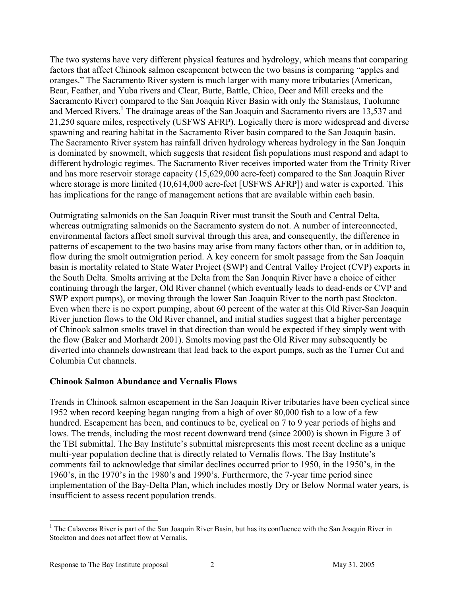The two systems have very different physical features and hydrology, which means that comparing factors that affect Chinook salmon escapement between the two basins is comparing "apples and oranges." The Sacramento River system is much larger with many more tributaries (American, Bear, Feather, and Yuba rivers and Clear, Butte, Battle, Chico, Deer and Mill creeks and the Sacramento River) compared to the San Joaquin River Basin with only the Stanislaus, Tuolumne and Merced Rivers.<sup>1</sup> The drainage areas of the San Joaquin and Sacramento rivers are 13,537 and 21,250 square miles, respectively (USFWS AFRP). Logically there is more widespread and diverse spawning and rearing habitat in the Sacramento River basin compared to the San Joaquin basin. The Sacramento River system has rainfall driven hydrology whereas hydrology in the San Joaquin is dominated by snowmelt, which suggests that resident fish populations must respond and adapt to different hydrologic regimes. The Sacramento River receives imported water from the Trinity River and has more reservoir storage capacity (15,629,000 acre-feet) compared to the San Joaquin River where storage is more limited (10,614,000 acre-feet [USFWS AFRP]) and water is exported. This has implications for the range of management actions that are available within each basin.

Outmigrating salmonids on the San Joaquin River must transit the South and Central Delta, whereas outmigrating salmonids on the Sacramento system do not. A number of interconnected, environmental factors affect smolt survival through this area, and consequently, the difference in patterns of escapement to the two basins may arise from many factors other than, or in addition to, flow during the smolt outmigration period. A key concern for smolt passage from the San Joaquin basin is mortality related to State Water Project (SWP) and Central Valley Project (CVP) exports in the South Delta. Smolts arriving at the Delta from the San Joaquin River have a choice of either continuing through the larger, Old River channel (which eventually leads to dead-ends or CVP and SWP export pumps), or moving through the lower San Joaquin River to the north past Stockton. Even when there is no export pumping, about 60 percent of the water at this Old River-San Joaquin River junction flows to the Old River channel, and initial studies suggest that a higher percentage of Chinook salmon smolts travel in that direction than would be expected if they simply went with the flow (Baker and Morhardt 2001). Smolts moving past the Old River may subsequently be diverted into channels downstream that lead back to the export pumps, such as the Turner Cut and Columbia Cut channels.

### Chinook Salmon Abundance and Vernalis Flows

Trends in Chinook salmon escapement in the San Joaquin River tributaries have been cyclical since 1952 when record keeping began ranging from a high of over 80,000 fish to a low of a few hundred. Escapement has been, and continues to be, cyclical on 7 to 9 year periods of highs and lows. The trends, including the most recent downward trend (since 2000) is shown in Figure 3 of the TBI submittal. The Bay Institute's submittal misrepresents this most recent decline as a unique multi-year population decline that is directly related to Vernalis flows. The Bay Institute's comments fail to acknowledge that similar declines occurred prior to 1950, in the 1950's, in the 1960's, in the 1970's in the 1980's and 1990's. Furthermore, the 7-year time period since implementation of the Bay-Delta Plan, which includes mostly Dry or Below Normal water years, is insufficient to assess recent population trends.

<sup>&</sup>lt;u>.</u> <sup>1</sup> The Calaveras River is part of the San Joaquin River Basin, but has its confluence with the San Joaquin River in Stockton and does not affect flow at Vernalis.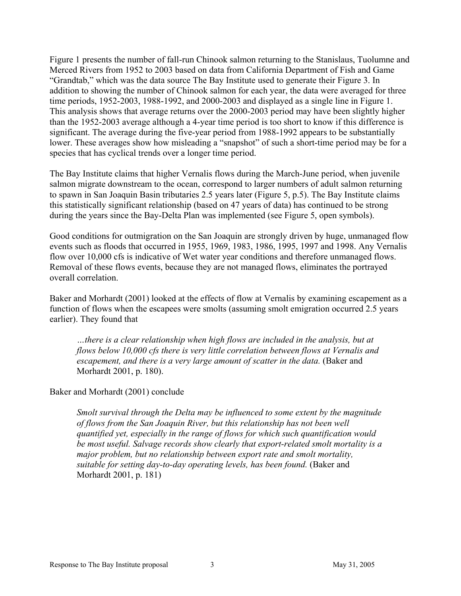Figure 1 presents the number of fall-run Chinook salmon returning to the Stanislaus, Tuolumne and Merced Rivers from 1952 to 2003 based on data from California Department of Fish and Game "Grandtab," which was the data source The Bay Institute used to generate their Figure 3. In addition to showing the number of Chinook salmon for each year, the data were averaged for three time periods, 1952-2003, 1988-1992, and 2000-2003 and displayed as a single line in Figure 1. This analysis shows that average returns over the 2000-2003 period may have been slightly higher than the 1952-2003 average although a 4-year time period is too short to know if this difference is significant. The average during the five-year period from 1988-1992 appears to be substantially lower. These averages show how misleading a "snapshot" of such a short-time period may be for a species that has cyclical trends over a longer time period.

The Bay Institute claims that higher Vernalis flows during the March-June period, when juvenile salmon migrate downstream to the ocean, correspond to larger numbers of adult salmon returning to spawn in San Joaquin Basin tributaries 2.5 years later (Figure 5, p.5). The Bay Institute claims this statistically significant relationship (based on 47 years of data) has continued to be strong during the years since the Bay-Delta Plan was implemented (see Figure 5, open symbols).

Good conditions for outmigration on the San Joaquin are strongly driven by huge, unmanaged flow events such as floods that occurred in 1955, 1969, 1983, 1986, 1995, 1997 and 1998. Any Vernalis flow over 10,000 cfs is indicative of Wet water year conditions and therefore unmanaged flows. Removal of these flows events, because they are not managed flows, eliminates the portrayed overall correlation.

Baker and Morhardt (2001) looked at the effects of flow at Vernalis by examining escapement as a function of flows when the escapees were smolts (assuming smolt emigration occurred 2.5 years earlier). They found that

…there is a clear relationship when high flows are included in the analysis, but at flows below 10,000 cfs there is very little correlation between flows at Vernalis and escapement, and there is a very large amount of scatter in the data. (Baker and Morhardt 2001, p. 180).

#### Baker and Morhardt (2001) conclude

Smolt survival through the Delta may be influenced to some extent by the magnitude of flows from the San Joaquin River, but this relationship has not been well quantified yet, especially in the range of flows for which such quantification would be most useful. Salvage records show clearly that export-related smolt mortality is a major problem, but no relationship between export rate and smolt mortality, suitable for setting day-to-day operating levels, has been found. (Baker and Morhardt 2001, p. 181)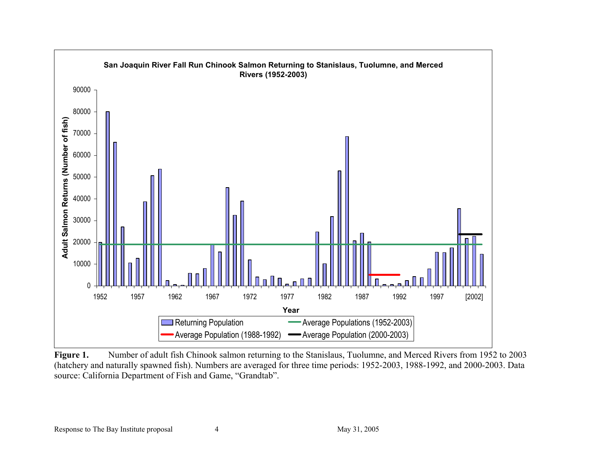

Figure 1. Number of adult fish Chinook salmon returning to the Stanislaus, Tuolumne, and Merced Rivers from 1952 to 2003 (hatchery and naturally spawned fish). Numbers are averaged for three time periods: 1952-2003, 1988-1992, and 2000-2003. Data source: California Department of Fish and Game, "Grandtab".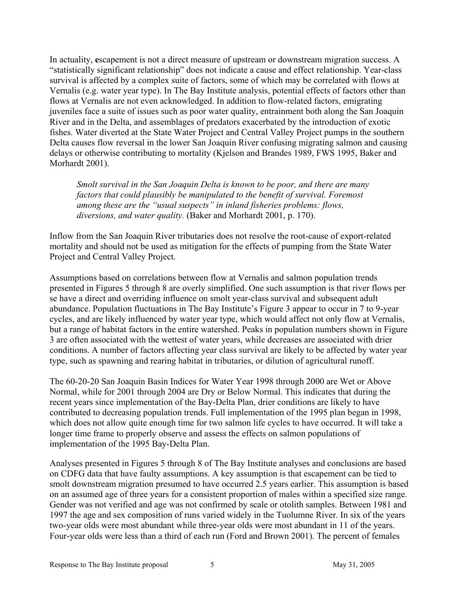In actuality, escapement is not a direct measure of upstream or downstream migration success. A "statistically significant relationship" does not indicate a cause and effect relationship. Year-class survival is affected by a complex suite of factors, some of which may be correlated with flows at Vernalis (e.g. water year type). In The Bay Institute analysis, potential effects of factors other than flows at Vernalis are not even acknowledged. In addition to flow-related factors, emigrating juveniles face a suite of issues such as poor water quality, entrainment both along the San Joaquin River and in the Delta, and assemblages of predators exacerbated by the introduction of exotic fishes. Water diverted at the State Water Project and Central Valley Project pumps in the southern Delta causes flow reversal in the lower San Joaquin River confusing migrating salmon and causing delays or otherwise contributing to mortality (Kjelson and Brandes 1989, FWS 1995, Baker and Morhardt 2001).

Smolt survival in the San Joaquin Delta is known to be poor, and there are many factors that could plausibly be manipulated to the benefit of survival. Foremost among these are the "usual suspects" in inland fisheries problems: flows, diversions, and water quality. (Baker and Morhardt 2001, p. 170).

Inflow from the San Joaquin River tributaries does not resolve the root-cause of export-related mortality and should not be used as mitigation for the effects of pumping from the State Water Project and Central Valley Project.

Assumptions based on correlations between flow at Vernalis and salmon population trends presented in Figures 5 through 8 are overly simplified. One such assumption is that river flows per se have a direct and overriding influence on smolt year-class survival and subsequent adult abundance. Population fluctuations in The Bay Institute's Figure 3 appear to occur in 7 to 9-year cycles, and are likely influenced by water year type, which would affect not only flow at Vernalis, but a range of habitat factors in the entire watershed. Peaks in population numbers shown in Figure 3 are often associated with the wettest of water years, while decreases are associated with drier conditions. A number of factors affecting year class survival are likely to be affected by water year type, such as spawning and rearing habitat in tributaries, or dilution of agricultural runoff.

The 60-20-20 San Joaquin Basin Indices for Water Year 1998 through 2000 are Wet or Above Normal, while for 2001 through 2004 are Dry or Below Normal. This indicates that during the recent years since implementation of the Bay-Delta Plan, drier conditions are likely to have contributed to decreasing population trends. Full implementation of the 1995 plan began in 1998, which does not allow quite enough time for two salmon life cycles to have occurred. It will take a longer time frame to properly observe and assess the effects on salmon populations of implementation of the 1995 Bay-Delta Plan.

Analyses presented in Figures 5 through 8 of The Bay Institute analyses and conclusions are based on CDFG data that have faulty assumptions. A key assumption is that escapement can be tied to smolt downstream migration presumed to have occurred 2.5 years earlier. This assumption is based on an assumed age of three years for a consistent proportion of males within a specified size range. Gender was not verified and age was not confirmed by scale or otolith samples. Between 1981 and 1997 the age and sex composition of runs varied widely in the Tuolumne River. In six of the years two-year olds were most abundant while three-year olds were most abundant in 11 of the years. Four-year olds were less than a third of each run (Ford and Brown 2001). The percent of females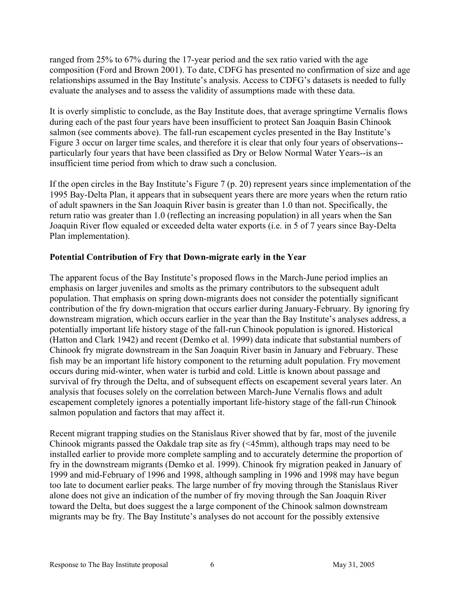ranged from 25% to 67% during the 17-year period and the sex ratio varied with the age composition (Ford and Brown 2001). To date, CDFG has presented no confirmation of size and age relationships assumed in the Bay Institute's analysis. Access to CDFG's datasets is needed to fully evaluate the analyses and to assess the validity of assumptions made with these data.

It is overly simplistic to conclude, as the Bay Institute does, that average springtime Vernalis flows during each of the past four years have been insufficient to protect San Joaquin Basin Chinook salmon (see comments above). The fall-run escapement cycles presented in the Bay Institute's Figure 3 occur on larger time scales, and therefore it is clear that only four years of observations- particularly four years that have been classified as Dry or Below Normal Water Years--is an insufficient time period from which to draw such a conclusion.

If the open circles in the Bay Institute's Figure 7 (p. 20) represent years since implementation of the 1995 Bay-Delta Plan, it appears that in subsequent years there are more years when the return ratio of adult spawners in the San Joaquin River basin is greater than 1.0 than not. Specifically, the return ratio was greater than 1.0 (reflecting an increasing population) in all years when the San Joaquin River flow equaled or exceeded delta water exports (i.e. in 5 of 7 years since Bay-Delta Plan implementation).

## Potential Contribution of Fry that Down-migrate early in the Year

The apparent focus of the Bay Institute's proposed flows in the March-June period implies an emphasis on larger juveniles and smolts as the primary contributors to the subsequent adult population. That emphasis on spring down-migrants does not consider the potentially significant contribution of the fry down-migration that occurs earlier during January-February. By ignoring fry downstream migration, which occurs earlier in the year than the Bay Institute's analyses address, a potentially important life history stage of the fall-run Chinook population is ignored. Historical (Hatton and Clark 1942) and recent (Demko et al. 1999) data indicate that substantial numbers of Chinook fry migrate downstream in the San Joaquin River basin in January and February. These fish may be an important life history component to the returning adult population. Fry movement occurs during mid-winter, when water is turbid and cold. Little is known about passage and survival of fry through the Delta, and of subsequent effects on escapement several years later. An analysis that focuses solely on the correlation between March-June Vernalis flows and adult escapement completely ignores a potentially important life-history stage of the fall-run Chinook salmon population and factors that may affect it.

Recent migrant trapping studies on the Stanislaus River showed that by far, most of the juvenile Chinook migrants passed the Oakdale trap site as fry (<45mm), although traps may need to be installed earlier to provide more complete sampling and to accurately determine the proportion of fry in the downstream migrants (Demko et al. 1999). Chinook fry migration peaked in January of 1999 and mid-February of 1996 and 1998, although sampling in 1996 and 1998 may have begun too late to document earlier peaks. The large number of fry moving through the Stanislaus River alone does not give an indication of the number of fry moving through the San Joaquin River toward the Delta, but does suggest the a large component of the Chinook salmon downstream migrants may be fry. The Bay Institute's analyses do not account for the possibly extensive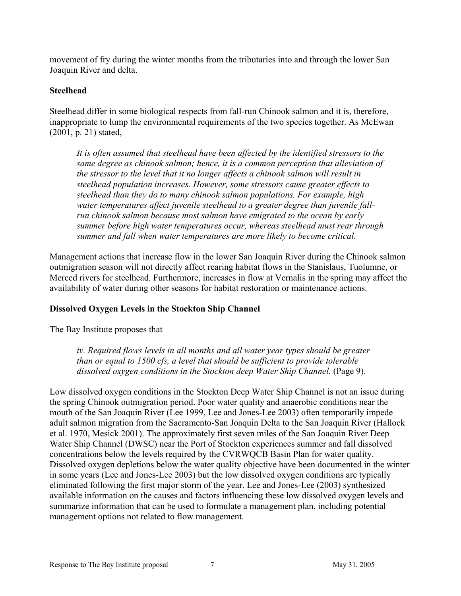movement of fry during the winter months from the tributaries into and through the lower San Joaquin River and delta.

### Steelhead

Steelhead differ in some biological respects from fall-run Chinook salmon and it is, therefore, inappropriate to lump the environmental requirements of the two species together. As McEwan (2001, p. 21) stated,

It is often assumed that steelhead have been affected by the identified stressors to the same degree as chinook salmon; hence, it is a common perception that alleviation of the stressor to the level that it no longer affects a chinook salmon will result in steelhead population increases. However, some stressors cause greater effects to steelhead than they do to many chinook salmon populations. For example, high water temperatures affect juvenile steelhead to a greater degree than juvenile fallrun chinook salmon because most salmon have emigrated to the ocean by early summer before high water temperatures occur, whereas steelhead must rear through summer and fall when water temperatures are more likely to become critical.

Management actions that increase flow in the lower San Joaquin River during the Chinook salmon outmigration season will not directly affect rearing habitat flows in the Stanislaus, Tuolumne, or Merced rivers for steelhead. Furthermore, increases in flow at Vernalis in the spring may affect the availability of water during other seasons for habitat restoration or maintenance actions.

# Dissolved Oxygen Levels in the Stockton Ship Channel

The Bay Institute proposes that

iv. Required flows levels in all months and all water year types should be greater than or equal to 1500 cfs, a level that should be sufficient to provide tolerable dissolved oxygen conditions in the Stockton deep Water Ship Channel. (Page 9).

Low dissolved oxygen conditions in the Stockton Deep Water Ship Channel is not an issue during the spring Chinook outmigration period. Poor water quality and anaerobic conditions near the mouth of the San Joaquin River (Lee 1999, Lee and Jones-Lee 2003) often temporarily impede adult salmon migration from the Sacramento-San Joaquin Delta to the San Joaquin River (Hallock et al. 1970, Mesick 2001). The approximately first seven miles of the San Joaquin River Deep Water Ship Channel (DWSC) near the Port of Stockton experiences summer and fall dissolved concentrations below the levels required by the CVRWQCB Basin Plan for water quality. Dissolved oxygen depletions below the water quality objective have been documented in the winter in some years (Lee and Jones-Lee 2003) but the low dissolved oxygen conditions are typically eliminated following the first major storm of the year. Lee and Jones-Lee (2003) synthesized available information on the causes and factors influencing these low dissolved oxygen levels and summarize information that can be used to formulate a management plan, including potential management options not related to flow management.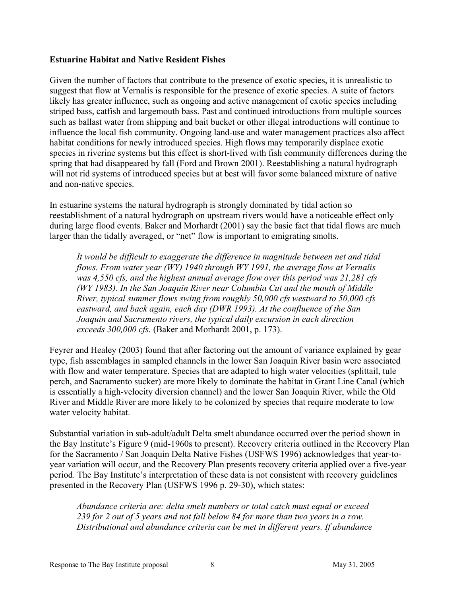#### Estuarine Habitat and Native Resident Fishes

Given the number of factors that contribute to the presence of exotic species, it is unrealistic to suggest that flow at Vernalis is responsible for the presence of exotic species. A suite of factors likely has greater influence, such as ongoing and active management of exotic species including striped bass, catfish and largemouth bass. Past and continued introductions from multiple sources such as ballast water from shipping and bait bucket or other illegal introductions will continue to influence the local fish community. Ongoing land-use and water management practices also affect habitat conditions for newly introduced species. High flows may temporarily displace exotic species in riverine systems but this effect is short-lived with fish community differences during the spring that had disappeared by fall (Ford and Brown 2001). Reestablishing a natural hydrograph will not rid systems of introduced species but at best will favor some balanced mixture of native and non-native species.

In estuarine systems the natural hydrograph is strongly dominated by tidal action so reestablishment of a natural hydrograph on upstream rivers would have a noticeable effect only during large flood events. Baker and Morhardt (2001) say the basic fact that tidal flows are much larger than the tidally averaged, or "net" flow is important to emigrating smolts.

It would be difficult to exaggerate the difference in magnitude between net and tidal flows. From water year (WY) 1940 through WY 1991, the average flow at Vernalis was 4,550 cfs, and the highest annual average flow over this period was 21,281 cfs (WY 1983). In the San Joaquin River near Columbia Cut and the mouth of Middle River, typical summer flows swing from roughly 50,000 cfs westward to 50,000 cfs eastward, and back again, each day (DWR 1993). At the confluence of the San Joaquin and Sacramento rivers, the typical daily excursion in each direction exceeds 300,000 cfs. (Baker and Morhardt 2001, p. 173).

Feyrer and Healey (2003) found that after factoring out the amount of variance explained by gear type, fish assemblages in sampled channels in the lower San Joaquin River basin were associated with flow and water temperature. Species that are adapted to high water velocities (splittail, tule perch, and Sacramento sucker) are more likely to dominate the habitat in Grant Line Canal (which is essentially a high-velocity diversion channel) and the lower San Joaquin River, while the Old River and Middle River are more likely to be colonized by species that require moderate to low water velocity habitat.

Substantial variation in sub-adult/adult Delta smelt abundance occurred over the period shown in the Bay Institute's Figure 9 (mid-1960s to present). Recovery criteria outlined in the Recovery Plan for the Sacramento / San Joaquin Delta Native Fishes (USFWS 1996) acknowledges that year-toyear variation will occur, and the Recovery Plan presents recovery criteria applied over a five-year period. The Bay Institute's interpretation of these data is not consistent with recovery guidelines presented in the Recovery Plan (USFWS 1996 p. 29-30), which states:

Abundance criteria are: delta smelt numbers or total catch must equal or exceed 239 for 2 out of 5 years and not fall below 84 for more than two years in a row. Distributional and abundance criteria can be met in different years. If abundance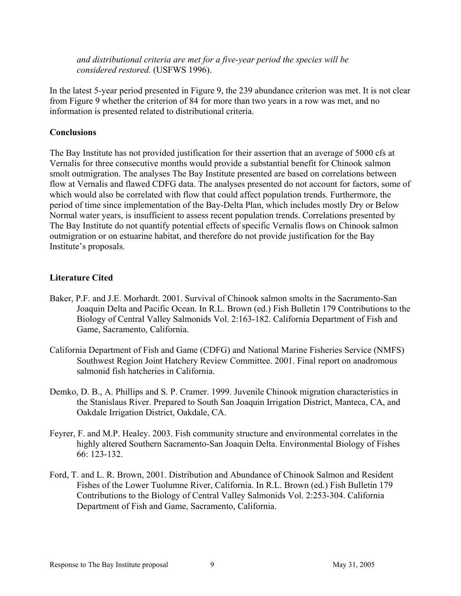and distributional criteria are met for a five-year period the species will be considered restored. (USFWS 1996).

In the latest 5-year period presented in Figure 9, the 239 abundance criterion was met. It is not clear from Figure 9 whether the criterion of 84 for more than two years in a row was met, and no information is presented related to distributional criteria.

### **Conclusions**

The Bay Institute has not provided justification for their assertion that an average of 5000 cfs at Vernalis for three consecutive months would provide a substantial benefit for Chinook salmon smolt outmigration. The analyses The Bay Institute presented are based on correlations between flow at Vernalis and flawed CDFG data. The analyses presented do not account for factors, some of which would also be correlated with flow that could affect population trends. Furthermore, the period of time since implementation of the Bay-Delta Plan, which includes mostly Dry or Below Normal water years, is insufficient to assess recent population trends. Correlations presented by The Bay Institute do not quantify potential effects of specific Vernalis flows on Chinook salmon outmigration or on estuarine habitat, and therefore do not provide justification for the Bay Institute's proposals.

# Literature Cited

- Baker, P.F. and J.E. Morhardt. 2001. Survival of Chinook salmon smolts in the Sacramento-San Joaquin Delta and Pacific Ocean. In R.L. Brown (ed.) Fish Bulletin 179 Contributions to the Biology of Central Valley Salmonids Vol. 2:163-182. California Department of Fish and Game, Sacramento, California.
- California Department of Fish and Game (CDFG) and National Marine Fisheries Service (NMFS) Southwest Region Joint Hatchery Review Committee. 2001. Final report on anadromous salmonid fish hatcheries in California.
- Demko, D. B., A. Phillips and S. P. Cramer. 1999. Juvenile Chinook migration characteristics in the Stanislaus River. Prepared to South San Joaquin Irrigation District, Manteca, CA, and Oakdale Irrigation District, Oakdale, CA.
- Feyrer, F. and M.P. Healey. 2003. Fish community structure and environmental correlates in the highly altered Southern Sacramento-San Joaquin Delta. Environmental Biology of Fishes 66: 123-132.
- Ford, T. and L. R. Brown, 2001. Distribution and Abundance of Chinook Salmon and Resident Fishes of the Lower Tuolumne River, California. In R.L. Brown (ed.) Fish Bulletin 179 Contributions to the Biology of Central Valley Salmonids Vol. 2:253-304. California Department of Fish and Game, Sacramento, California.